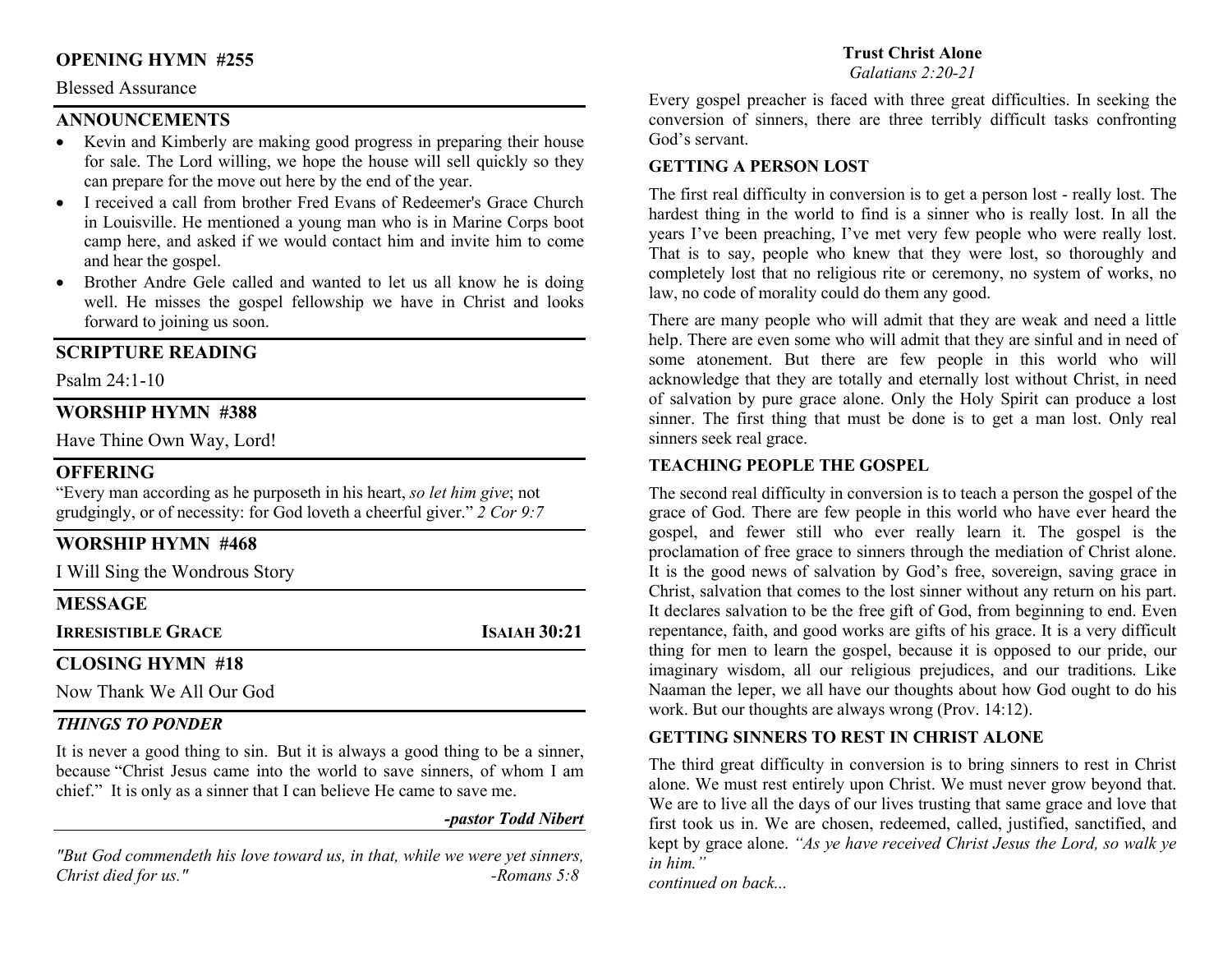## OPENING HYMN #255

#### Blessed Assurance

## **ANNOUNCEMENTS**

- Kevin and Kimberly are making good progress in preparing their house for sale. The Lord willing, we hope the house will sell quickly so they can prepare for the move out here by the end of the year.
- I received a call from brother Fred Evans of Redeemer's Grace Church in Louisville. He mentioned a young man who is in Marine Corps boot camp here, and asked if we would contact him and invite him to come and hear the gospel.
- Brother Andre Gele called and wanted to let us all know he is doing well. He misses the gospel fellowship we have in Christ and looks forward to joining us soon.

### SCRIPTURE READING

Psalm 24:1-10

#### WORSHIP HYMN #388

Have Thine Own Way, Lord!

## **OFFERING**

"Every man according as he purposeth in his heart, so let him give; not grudgingly, or of necessity: for God loveth a cheerful giver." 2 Cor 9:7

## WORSHIP HYMN #468

I Will Sing the Wondrous Story

## MESSAGE

### CLOSING HYMN #18

Now Thank We All Our God

#### THINGS TO PONDER

It is never a good thing to sin. But it is always a good thing to be a sinner, because "Christ Jesus came into the world to save sinners, of whom I am chief." It is only as a sinner that I can believe He came to save me.

## -pastor Todd Nibert

"But God commendeth his love toward us, in that, while we were yet sinners, Christ died for us." $-Romans 5:8$ 

#### Trust Christ Alone

Galatians 2:20-21

Every gospel preacher is faced with three great difficulties. In seeking the conversion of sinners, there are three terribly difficult tasks confronting God's servant.

#### GETTING A PERSON LOST

The first real difficulty in conversion is to get a person lost - really lost. The hardest thing in the world to find is a sinner who is really lost. In all the years I've been preaching, I've met very few people who were really lost. That is to say, people who knew that they were lost, so thoroughly and completely lost that no religious rite or ceremony, no system of works, no law, no code of morality could do them any good.

There are many people who will admit that they are weak and need a little help. There are even some who will admit that they are sinful and in need of some atonement. But there are few people in this world who will acknowledge that they are totally and eternally lost without Christ, in need of salvation by pure grace alone. Only the Holy Spirit can produce a lost sinner. The first thing that must be done is to get a man lost. Only real sinners seek real grace.

## TEACHING PEOPLE THE GOSPEL

The second real difficulty in conversion is to teach a person the gospel of the grace of God. There are few people in this world who have ever heard the gospel, and fewer still who ever really learn it. The gospel is the proclamation of free grace to sinners through the mediation of Christ alone. It is the good news of salvation by God's free, sovereign, saving grace in Christ, salvation that comes to the lost sinner without any return on his part. It declares salvation to be the free gift of God, from beginning to end. Even repentance, faith, and good works are gifts of his grace. It is a very difficult thing for men to learn the gospel, because it is opposed to our pride, our imaginary wisdom, all our religious prejudices, and our traditions. Like Naaman the leper, we all have our thoughts about how God ought to do his work. But our thoughts are always wrong (Prov. 14:12).

#### GETTING SINNERS TO REST IN CHRIST ALONE

The third great difficulty in conversion is to bring sinners to rest in Christ alone. We must rest entirely upon Christ. We must never grow beyond that. We are to live all the days of our lives trusting that same grace and love that first took us in. We are chosen, redeemed, called, justified, sanctified, and kept by grace alone. "As ye have received Christ Jesus the Lord, so walk ye in him."

continued on back...

**IRRESISTIBLE GRACE ISAIAH 30:21**